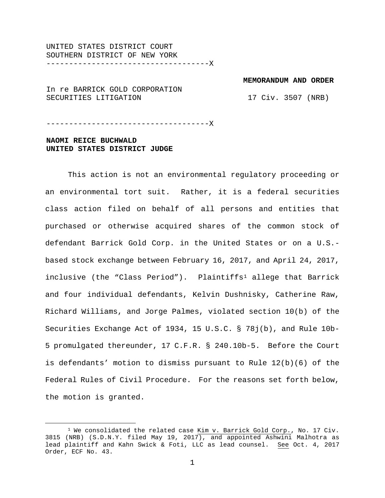UNITED STATES DISTRICT COURT SOUTHERN DISTRICT OF NEW YORK ------------------------------------X

**MEMORANDUM AND ORDER**

In re BARRICK GOLD CORPORATION SECURITIES LITIGATION

17 Civ. 3507 (NRB)

------------------------------------X

# **NAOMI REICE BUCHWALD UNITED STATES DISTRICT JUDGE**

This action is not an environmental regulatory proceeding or an environmental tort suit. Rather, it is a federal securities class action filed on behalf of all persons and entities that purchased or otherwise acquired shares of the common stock of defendant Barrick Gold Corp. in the United States or on a U.S. based stock exchange between February 16, 2017, and April 24, 2017, inclusive (the "Class Period"). Plaintiffs<sup>[1](#page-0-0)</sup> allege that Barrick and four individual defendants, Kelvin Dushnisky, Catherine Raw, Richard Williams, and Jorge Palmes, violated section 10(b) of the Securities Exchange Act of 1934, 15 U.S.C. § 78j(b), and Rule 10b-5 promulgated thereunder, 17 C.F.R. § 240.10b-5. Before the Court is defendants' motion to dismiss pursuant to Rule 12(b)(6) of the Federal Rules of Civil Procedure. For the reasons set forth below, the motion is granted.

<span id="page-0-0"></span> $1$  We consolidated the related case Kim v. Barrick Gold Corp., No. 17 Civ. 3815 (NRB) (S.D.N.Y. filed May 19, 2017), and appointed Ashwini Malhotra as lead plaintiff and Kahn Swick & Foti, LLC as lead counsel. See Oct. 4, 2017 Order, ECF No. 43.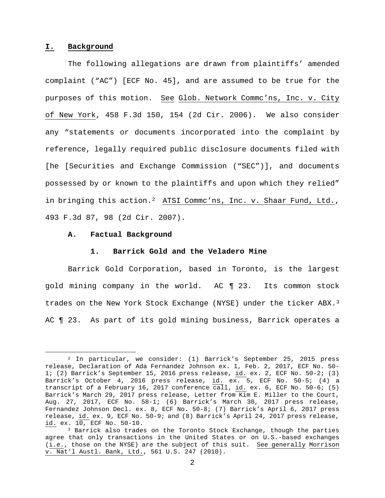#### **I. Background**

The following allegations are drawn from plaintiffs' amended complaint ("AC") [ECF No. 45], and are assumed to be true for the purposes of this motion. See Glob. Network Commc'ns, Inc. v. City of New York, 458 F.3d 150, 154 (2d Cir. 2006). We also consider any "statements or documents incorporated into the complaint by reference, legally required public disclosure documents filed with [he [Securities and Exchange Commission ("SEC")], and documents possessed by or known to the plaintiffs and upon which they relied" in bringing this action.<sup>2</sup> ATSI Commc'ns, Inc. v. Shaar Fund, Ltd., 493 F.3d 87, 98 (2d Cir. 2007).

### **A. Factual Background**

#### **1. Barrick Gold and the Veladero Mine**

Barrick Gold Corporation, based in Toronto, is the largest gold mining company in the world. AC ¶ 23. Its common stock trades on the New York Stock Exchange (NYSE) under the ticker ABX.<sup>[3](#page-1-1)</sup> AC ¶ 23. As part of its gold mining business, Barrick operates a

<span id="page-1-0"></span> <sup>2</sup> In particular, we consider: (1) Barrick's September 25, 2015 press release, Declaration of Ada Fernandez Johnson ex. 1, Feb. 2, 2017, ECF No. 50- 1; (2) Barrick's September 15, 2016 press release, id. ex. 2, ECF No. 50-2; (3) Barrick's October 4, 2016 press release, id. ex. 5, ECF No. 50-5; (4) a transcript of a February 16, 2017 conference call, id. ex. 6, ECF No. 50-6; (5) Barrick's March 29, 2017 press release, Letter from Kim E. Miller to the Court, Aug. 27, 2017, ECF No. 58-1; (6) Barrick's March 30, 2017 press release, Fernandez Johnson Decl. ex. 8, ECF No. 50-8; (7) Barrick's April 6, 2017 press release, id. ex. 9, ECF No. 50-9; and (8) Barrick's April 24, 2017 press release, id. ex. 10, ECF No. 50-10.

<span id="page-1-1"></span><sup>&</sup>lt;sup>3</sup> Barrick also trades on the Toronto Stock Exchange, though the parties agree that only transactions in the United States or on U.S.-based exchanges (i.e., those on the NYSE) are the subject of this suit. See generally Morrison v. Nat'l Austl. Bank, Ltd., 561 U.S. 247 (2010).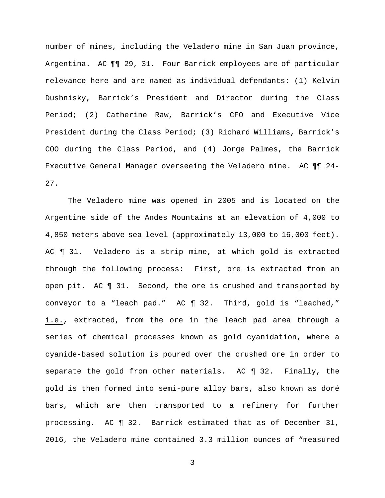number of mines, including the Veladero mine in San Juan province, Argentina. AC ¶¶ 29, 31. Four Barrick employees are of particular relevance here and are named as individual defendants: (1) Kelvin Dushnisky, Barrick's President and Director during the Class Period; (2) Catherine Raw, Barrick's CFO and Executive Vice President during the Class Period; (3) Richard Williams, Barrick's COO during the Class Period, and (4) Jorge Palmes, the Barrick Executive General Manager overseeing the Veladero mine. AC ¶¶ 24- 27.

The Veladero mine was opened in 2005 and is located on the Argentine side of the Andes Mountains at an elevation of 4,000 to 4,850 meters above sea level (approximately 13,000 to 16,000 feet). AC ¶ 31. Veladero is a strip mine, at which gold is extracted through the following process: First, ore is extracted from an open pit. AC ¶ 31. Second, the ore is crushed and transported by conveyor to a "leach pad." AC ¶ 32. Third, gold is "leached," i.e., extracted, from the ore in the leach pad area through a series of chemical processes known as gold cyanidation, where a cyanide-based solution is poured over the crushed ore in order to separate the gold from other materials. AC ¶ 32. Finally, the gold is then formed into semi-pure alloy bars, also known as doré bars, which are then transported to a refinery for further processing. AC ¶ 32. Barrick estimated that as of December 31, 2016, the Veladero mine contained 3.3 million ounces of "measured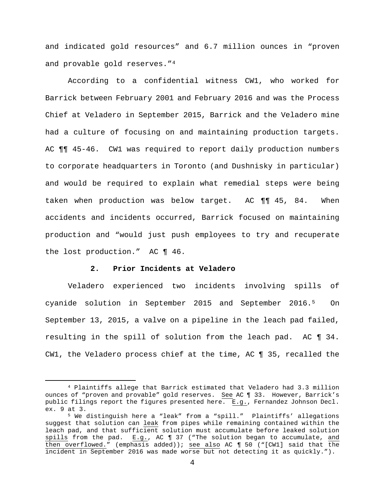and indicated gold resources" and 6.7 million ounces in "proven and provable gold reserves."[4](#page-3-0)

According to a confidential witness CW1, who worked for Barrick between February 2001 and February 2016 and was the Process Chief at Veladero in September 2015, Barrick and the Veladero mine had a culture of focusing on and maintaining production targets. AC ¶¶ 45-46. CW1 was required to report daily production numbers to corporate headquarters in Toronto (and Dushnisky in particular) and would be required to explain what remedial steps were being taken when production was below target. AC ¶¶ 45, 84. When accidents and incidents occurred, Barrick focused on maintaining production and "would just push employees to try and recuperate the lost production." AC ¶ 46.

## **2. Prior Incidents at Veladero**

Veladero experienced two incidents involving spills of cyanide solution in September 2015 and September 2016.[5](#page-3-1) On September 13, 2015, a valve on a pipeline in the leach pad failed, resulting in the spill of solution from the leach pad. AC ¶ 34. CW1, the Veladero process chief at the time, AC ¶ 35, recalled the

<span id="page-3-0"></span> <sup>4</sup> Plaintiffs allege that Barrick estimated that Veladero had 3.3 million ounces of "proven and provable" gold reserves. See AC ¶ 33. However, Barrick's public filings report the figures presented here. E.g., Fernandez Johnson Decl. ex. 9 at 3.

<span id="page-3-1"></span><sup>5</sup> We distinguish here a "leak" from a "spill." Plaintiffs' allegations suggest that solution can leak from pipes while remaining contained within the leach pad, and that sufficient solution must accumulate before leaked solution spills from the pad. E.g., AC ¶ 37 ("The solution began to accumulate, and then overflowed." (emphasis added)); see also AC ¶ 50 ("[CW1] said that the incident in September 2016 was made worse but not detecting it as quickly.").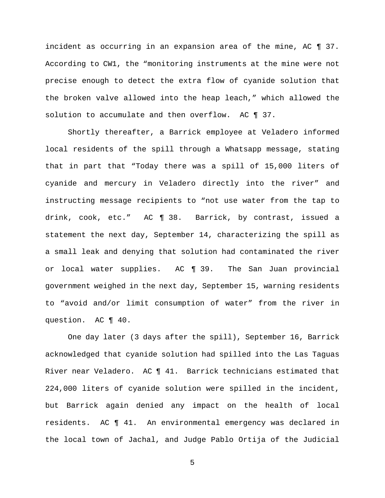incident as occurring in an expansion area of the mine, AC ¶ 37. According to CW1, the "monitoring instruments at the mine were not precise enough to detect the extra flow of cyanide solution that the broken valve allowed into the heap leach," which allowed the solution to accumulate and then overflow. AC  $\P$  37.

Shortly thereafter, a Barrick employee at Veladero informed local residents of the spill through a Whatsapp message, stating that in part that "Today there was a spill of 15,000 liters of cyanide and mercury in Veladero directly into the river" and instructing message recipients to "not use water from the tap to drink, cook, etc." AC ¶ 38. Barrick, by contrast, issued a statement the next day, September 14, characterizing the spill as a small leak and denying that solution had contaminated the river or local water supplies. AC ¶ 39. The San Juan provincial government weighed in the next day, September 15, warning residents to "avoid and/or limit consumption of water" from the river in question. AC ¶ 40.

One day later (3 days after the spill), September 16, Barrick acknowledged that cyanide solution had spilled into the Las Taguas River near Veladero. AC ¶ 41. Barrick technicians estimated that 224,000 liters of cyanide solution were spilled in the incident, but Barrick again denied any impact on the health of local residents. AC ¶ 41. An environmental emergency was declared in the local town of Jachal, and Judge Pablo Ortija of the Judicial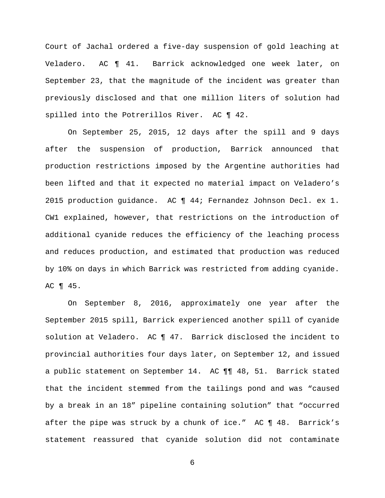Court of Jachal ordered a five-day suspension of gold leaching at Veladero. AC ¶ 41. Barrick acknowledged one week later, on September 23, that the magnitude of the incident was greater than previously disclosed and that one million liters of solution had spilled into the Potrerillos River. AC 142.

On September 25, 2015, 12 days after the spill and 9 days after the suspension of production, Barrick announced that production restrictions imposed by the Argentine authorities had been lifted and that it expected no material impact on Veladero's 2015 production guidance. AC ¶ 44; Fernandez Johnson Decl. ex 1. CW1 explained, however, that restrictions on the introduction of additional cyanide reduces the efficiency of the leaching process and reduces production, and estimated that production was reduced by 10% on days in which Barrick was restricted from adding cyanide. AC ¶ 45.

On September 8, 2016, approximately one year after the September 2015 spill, Barrick experienced another spill of cyanide solution at Veladero. AC ¶ 47. Barrick disclosed the incident to provincial authorities four days later, on September 12, and issued a public statement on September 14. AC ¶¶ 48, 51. Barrick stated that the incident stemmed from the tailings pond and was "caused by a break in an 18" pipeline containing solution" that "occurred after the pipe was struck by a chunk of ice." AC ¶ 48. Barrick's statement reassured that cyanide solution did not contaminate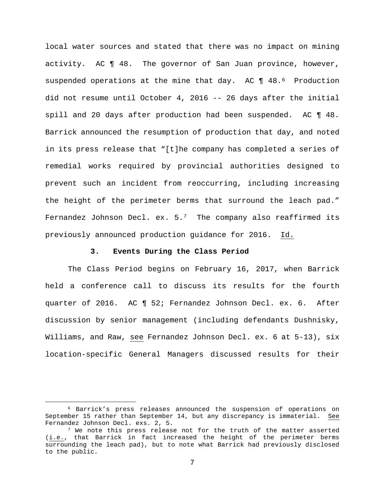local water sources and stated that there was no impact on mining activity. AC ¶ 48. The governor of San Juan province, however, suspended operations at the mine that day. AC ¶ 48.[6](#page-6-0) Production did not resume until October 4, 2016 -- 26 days after the initial spill and 20 days after production had been suspended. AC ¶ 48. Barrick announced the resumption of production that day, and noted in its press release that "[t]he company has completed a series of remedial works required by provincial authorities designed to prevent such an incident from reoccurring, including increasing the height of the perimeter berms that surround the leach pad." Fernandez Johnson Decl. ex.  $5.^7$  $5.^7$  The company also reaffirmed its previously announced production guidance for 2016. Id.

### **3. Events During the Class Period**

The Class Period begins on February 16, 2017, when Barrick held a conference call to discuss its results for the fourth quarter of 2016. AC ¶ 52; Fernandez Johnson Decl. ex. 6. After discussion by senior management (including defendants Dushnisky, Williams, and Raw, see Fernandez Johnson Decl. ex. 6 at 5-13), six location-specific General Managers discussed results for their

<span id="page-6-0"></span> <sup>6</sup> Barrick's press releases announced the suspension of operations on September 15 rather than September 14, but any discrepancy is immaterial. See Fernandez Johnson Decl. exs. 2, 5.

<span id="page-6-1"></span> $7$  We note this press release not for the truth of the matter asserted (i.e., that Barrick in fact increased the height of the perimeter berms surrounding the leach pad), but to note what Barrick had previously disclosed to the public.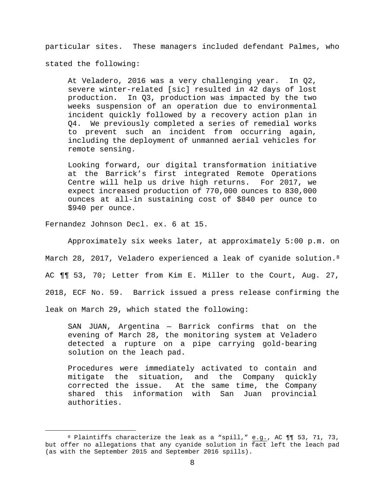particular sites. These managers included defendant Palmes, who

stated the following:

At Veladero, 2016 was a very challenging year. In Q2, severe winter-related [sic] resulted in 42 days of lost production. In Q3, production was impacted by the two weeks suspension of an operation due to environmental incident quickly followed by a recovery action plan in Q4. We previously completed a series of remedial works to prevent such an incident from occurring again, including the deployment of unmanned aerial vehicles for remote sensing.

Looking forward, our digital transformation initiative at the Barrick's first integrated Remote Operations Centre will help us drive high returns. For 2017, we expect increased production of 770,000 ounces to 830,000 ounces at all-in sustaining cost of \$840 per ounce to \$940 per ounce.

Fernandez Johnson Decl. ex. 6 at 15.

Approximately six weeks later, at approximately 5:00 p.m. on March 2[8](#page-7-0), 2017, Veladero experienced a leak of cyanide solution.<sup>8</sup> AC ¶¶ 53, 70; Letter from Kim E. Miller to the Court, Aug. 27, 2018, ECF No. 59. Barrick issued a press release confirming the leak on March 29, which stated the following:

SAN JUAN, Argentina — Barrick confirms that on the evening of March 28, the monitoring system at Veladero detected a rupture on a pipe carrying gold-bearing solution on the leach pad.

Procedures were immediately activated to contain and mitigate the situation, and the Company quickly<br>corrected the issue. At the same time, the Company At the same time, the Company shared this information with San Juan provincial authorities.

<span id="page-7-0"></span> <sup>8</sup> Plaintiffs characterize the leak as a "spill," e.g., AC ¶¶ 53, 71, 73, but offer no allegations that any cyanide solution in fact left the leach pad (as with the September 2015 and September 2016 spills).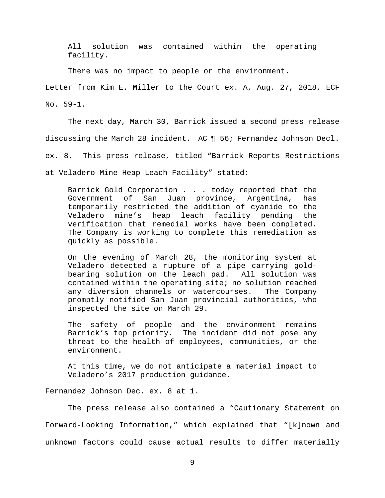All solution was contained within the operating facility.

There was no impact to people or the environment.

Letter from Kim E. Miller to the Court ex. A, Aug. 27, 2018, ECF No. 59-1.

The next day, March 30, Barrick issued a second press release discussing the March 28 incident. AC ¶ 56; Fernandez Johnson Decl. ex. 8. This press release, titled "Barrick Reports Restrictions at Veladero Mine Heap Leach Facility" stated:

Barrick Gold Corporation . . . today reported that the<br>Government of San Juan province, Argentina, has Government of San Juan province, Argentina, has temporarily restricted the addition of cyanide to the Veladero mine's heap leach facility pending the verification that remedial works have been completed. The Company is working to complete this remediation as quickly as possible.

On the evening of March 28, the monitoring system at Veladero detected a rupture of a pipe carrying gold-<br>bearing solution on the leach pad. All solution was bearing solution on the leach pad. contained within the operating site; no solution reached<br>any diversion channels or watercourses. The Company any diversion channels or watercourses. promptly notified San Juan provincial authorities, who inspected the site on March 29.

The safety of people and the environment remains Barrick's top priority. The incident did not pose any threat to the health of employees, communities, or the environment.

At this time, we do not anticipate a material impact to Veladero's 2017 production guidance.

Fernandez Johnson Dec. ex. 8 at 1.

The press release also contained a "Cautionary Statement on Forward-Looking Information," which explained that "[k]nown and unknown factors could cause actual results to differ materially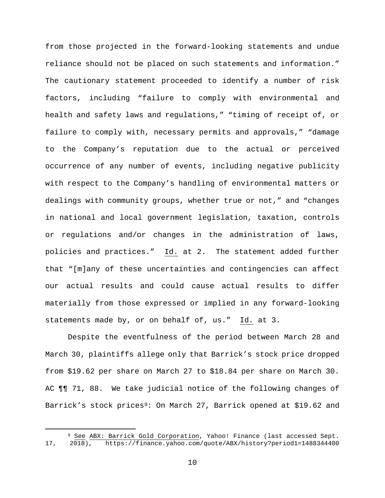from those projected in the forward-looking statements and undue reliance should not be placed on such statements and information." The cautionary statement proceeded to identify a number of risk factors, including "failure to comply with environmental and health and safety laws and regulations," "timing of receipt of, or failure to comply with, necessary permits and approvals," "damage to the Company's reputation due to the actual or perceived occurrence of any number of events, including negative publicity with respect to the Company's handling of environmental matters or dealings with community groups, whether true or not," and "changes in national and local government legislation, taxation, controls or regulations and/or changes in the administration of laws, policies and practices." Id. at 2. The statement added further that "[m]any of these uncertainties and contingencies can affect our actual results and could cause actual results to differ materially from those expressed or implied in any forward-looking statements made by, or on behalf of, us." Id. at 3.

Despite the eventfulness of the period between March 28 and March 30, plaintiffs allege only that Barrick's stock price dropped from \$19.62 per share on March 27 to \$18.84 per share on March 30. AC ¶¶ 71, 88. We take judicial notice of the following changes of Barrick's stock prices<sup>[9:](#page-9-0)</sup> On March 27, Barrick opened at \$19.62 and

<span id="page-9-0"></span><sup>9</sup> See ABX: Barrick Gold Corporation, Yahoo! Finance (last accessed Sept.<br>17, 2018), https://finance.yahoo.com/quote/ABX/history?period1=1488344400 17, 2018), https://finance.yahoo.com/quote/ABX/history?period1=1488344400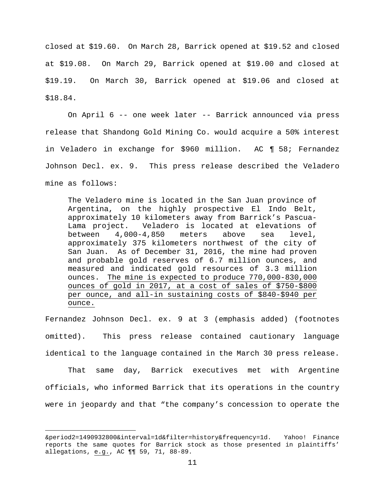closed at \$19.60. On March 28, Barrick opened at \$19.52 and closed at \$19.08. On March 29, Barrick opened at \$19.00 and closed at \$19.19. On March 30, Barrick opened at \$19.06 and closed at \$18.84.

On April 6 -- one week later -- Barrick announced via press release that Shandong Gold Mining Co. would acquire a 50% interest in Veladero in exchange for \$960 million. AC ¶ 58; Fernandez Johnson Decl. ex. 9. This press release described the Veladero mine as follows:

The Veladero mine is located in the San Juan province of Argentina, on the highly prospective El Indo Belt, approximately 10 kilometers away from Barrick's Pascua-Lama project. Veladero is located at elevations of between 4,000-4,850 meters above sea level, approximately 375 kilometers northwest of the city of San Juan. As of December 31, 2016, the mine had proven and probable gold reserves of 6.7 million ounces, and measured and indicated gold resources of 3.3 million ounces. The mine is expected to produce 770,000-830,000 ounces of gold in 2017, at a cost of sales of \$750-\$800 per ounce, and all-in sustaining costs of \$840-\$940 per ounce.

Fernandez Johnson Decl. ex. 9 at 3 (emphasis added) (footnotes omitted). This press release contained cautionary language identical to the language contained in the March 30 press release.

That same day, Barrick executives met with Argentine officials, who informed Barrick that its operations in the country were in jeopardy and that "the company's concession to operate the

Ĩ. &period2=1490932800&interval=1d&filter=history&frequency=1d. Yahoo! Finance reports the same quotes for Barrick stock as those presented in plaintiffs' allegations, e.g., AC ¶¶ 59, 71, 88-89.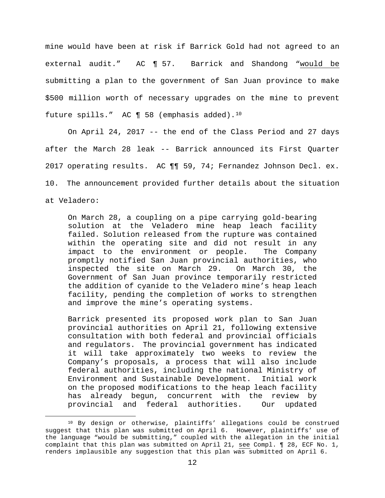mine would have been at risk if Barrick Gold had not agreed to an external audit." AC ¶ 57. Barrick and Shandong "would be submitting a plan to the government of San Juan province to make \$500 million worth of necessary upgrades on the mine to prevent future spills." AC ¶ 58 (emphasis added).[10](#page-11-0)

On April 24, 2017 -- the end of the Class Period and 27 days after the March 28 leak -- Barrick announced its First Quarter 2017 operating results. AC ¶¶ 59, 74; Fernandez Johnson Decl. ex. 10. The announcement provided further details about the situation at Veladero:

On March 28, a coupling on a pipe carrying gold-bearing solution at the Veladero mine heap leach facility failed. Solution released from the rupture was contained within the operating site and did not result in any<br>impact to the environment or people. The Company impact to the environment or people. promptly notified San Juan provincial authorities, who inspected the site on March 29. Government of San Juan province temporarily restricted the addition of cyanide to the Veladero mine's heap leach facility, pending the completion of works to strengthen and improve the mine's operating systems.

Barrick presented its proposed work plan to San Juan provincial authorities on April 21, following extensive consultation with both federal and provincial officials and regulators. The provincial government has indicated it will take approximately two weeks to review the Company's proposals, a process that will also include federal authorities, including the national Ministry of Environment and Sustainable Development. Initial work on the proposed modifications to the heap leach facility has already begun, concurrent with the review by provincial and federal authorities. Our updated

<span id="page-11-0"></span><sup>&</sup>lt;sup>10</sup> By design or otherwise, plaintiffs' allegations could be construed suggest that this plan was submitted on April 6. However, plaintiffs' use of the language "would be submitting," coupled with the allegation in the initial complaint that this plan was submitted on April 21, see Compl. ¶ 28, ECF No. 1, renders implausible any suggestion that this plan was submitted on April 6.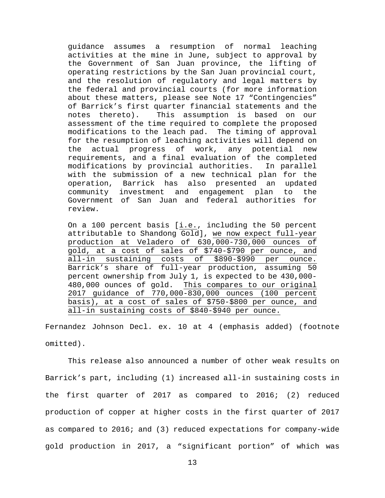guidance assumes a resumption of normal leaching activities at the mine in June, subject to approval by the Government of San Juan province, the lifting of operating restrictions by the San Juan provincial court, and the resolution of regulatory and legal matters by the federal and provincial courts (for more information about these matters, please see Note 17 "Contingencies" of Barrick's first quarter financial statements and the notes thereto). This assumption is based on our assessment of the time required to complete the proposed modifications to the leach pad. The timing of approval for the resumption of leaching activities will depend on<br>the actual progress of work, any potential new the actual progress of work, any potential new requirements, and a final evaluation of the completed modifications by provincial authorities. with the submission of a new technical plan for the operation, Barrick has also presented an updated community investment and engagement plan to the Government of San Juan and federal authorities for review.

On a 100 percent basis [i.e., including the 50 percent attributable to Shandong Gold], we now expect full-year production at Veladero of 630,000-730,000 ounces of gold, at a cost of sales of \$740-\$790 per ounce, and all-in sustaining costs of \$890-\$990 per ounce. Barrick's share of full-year production, assuming 50 percent ownership from July 1, is expected to be 430,000- 480,000 ounces of gold. This compares to our original 2017 guidance of 770,000-830,000 ounces (100 percent basis), at a cost of sales of \$750-\$800 per ounce, and all-in sustaining costs of \$840-\$940 per ounce.

Fernandez Johnson Decl. ex. 10 at 4 (emphasis added) (footnote omitted).

This release also announced a number of other weak results on Barrick's part, including (1) increased all-in sustaining costs in the first quarter of 2017 as compared to 2016; (2) reduced production of copper at higher costs in the first quarter of 2017 as compared to 2016; and (3) reduced expectations for company-wide gold production in 2017, a "significant portion" of which was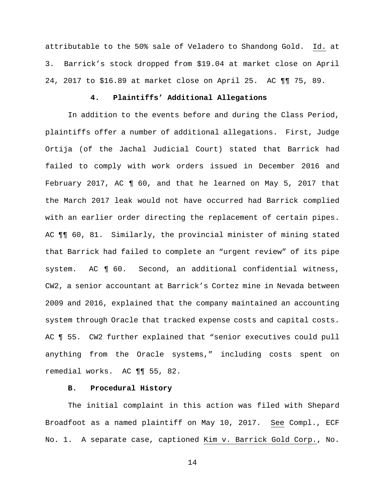attributable to the 50% sale of Veladero to Shandong Gold. Id. at 3. Barrick's stock dropped from \$19.04 at market close on April 24, 2017 to \$16.89 at market close on April 25. AC ¶¶ 75, 89.

# **4. Plaintiffs' Additional Allegations**

In addition to the events before and during the Class Period, plaintiffs offer a number of additional allegations. First, Judge Ortija (of the Jachal Judicial Court) stated that Barrick had failed to comply with work orders issued in December 2016 and February 2017, AC ¶ 60, and that he learned on May 5, 2017 that the March 2017 leak would not have occurred had Barrick complied with an earlier order directing the replacement of certain pipes. AC ¶¶ 60, 81. Similarly, the provincial minister of mining stated that Barrick had failed to complete an "urgent review" of its pipe system. AC ¶ 60. Second, an additional confidential witness, CW2, a senior accountant at Barrick's Cortez mine in Nevada between 2009 and 2016, explained that the company maintained an accounting system through Oracle that tracked expense costs and capital costs. AC ¶ 55. CW2 further explained that "senior executives could pull anything from the Oracle systems," including costs spent on remedial works. AC ¶¶ 55, 82.

## **B. Procedural History**

The initial complaint in this action was filed with Shepard Broadfoot as a named plaintiff on May 10, 2017. See Compl., ECF No. 1. A separate case, captioned Kim v. Barrick Gold Corp., No.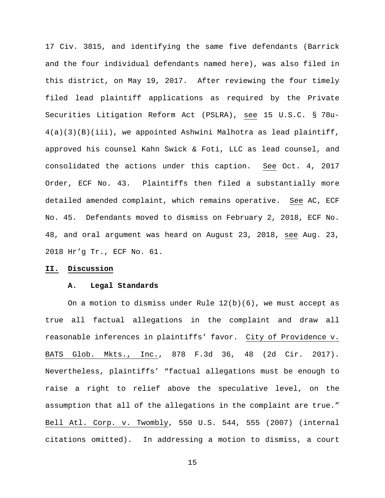17 Civ. 3815, and identifying the same five defendants (Barrick and the four individual defendants named here), was also filed in this district, on May 19, 2017. After reviewing the four timely filed lead plaintiff applications as required by the Private Securities Litigation Reform Act (PSLRA), see 15 U.S.C. § 78u- $4(a)(3)(B)(iii)$ , we appointed Ashwini Malhotra as lead plaintiff, approved his counsel Kahn Swick & Foti, LLC as lead counsel, and consolidated the actions under this caption. See Oct. 4, 2017 Order, ECF No. 43. Plaintiffs then filed a substantially more detailed amended complaint, which remains operative. See AC, ECF No. 45. Defendants moved to dismiss on February 2, 2018, ECF No. 48, and oral argument was heard on August 23, 2018, see Aug. 23, 2018 Hr'g Tr., ECF No. 61.

## **II. Discussion**

### **A. Legal Standards**

On a motion to dismiss under Rule  $12(b)(6)$ , we must accept as true all factual allegations in the complaint and draw all reasonable inferences in plaintiffs' favor. City of Providence v. BATS Glob. Mkts., Inc., 878 F.3d 36, 48 (2d Cir. 2017). Nevertheless, plaintiffs' "factual allegations must be enough to raise a right to relief above the speculative level, on the assumption that all of the allegations in the complaint are true." Bell Atl. Corp. v. Twombly, 550 U.S. 544, 555 (2007) (internal citations omitted). In addressing a motion to dismiss, a court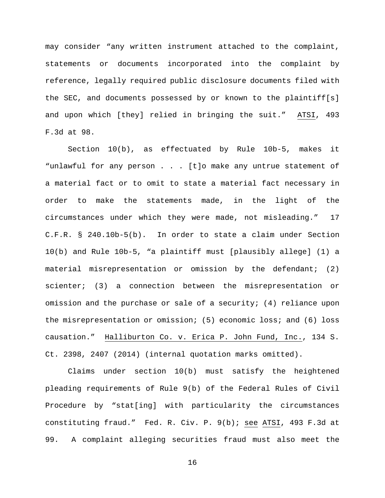may consider "any written instrument attached to the complaint, statements or documents incorporated into the complaint by reference, legally required public disclosure documents filed with the SEC, and documents possessed by or known to the plaintiff[s] and upon which [they] relied in bringing the suit." ATSI, 493 F.3d at 98.

Section 10(b), as effectuated by Rule 10b-5, makes it "unlawful for any person . . . [t]o make any untrue statement of a material fact or to omit to state a material fact necessary in order to make the statements made, in the light of the circumstances under which they were made, not misleading." 17 C.F.R. § 240.10b-5(b). In order to state a claim under Section 10(b) and Rule 10b-5, "a plaintiff must [plausibly allege] (1) a material misrepresentation or omission by the defendant; (2) scienter; (3) a connection between the misrepresentation or omission and the purchase or sale of a security; (4) reliance upon the misrepresentation or omission; (5) economic loss; and (6) loss causation." Halliburton Co. v. Erica P. John Fund, Inc., 134 S. Ct. 2398, 2407 (2014) (internal quotation marks omitted).

Claims under section 10(b) must satisfy the heightened pleading requirements of Rule 9(b) of the Federal Rules of Civil Procedure by "stat[ing] with particularity the circumstances constituting fraud." Fed. R. Civ. P. 9(b); see ATSI, 493 F.3d at 99. A complaint alleging securities fraud must also meet the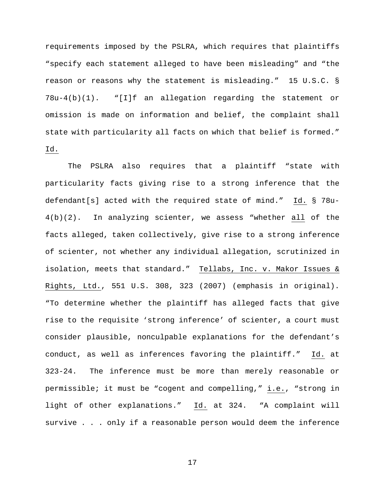requirements imposed by the PSLRA, which requires that plaintiffs "specify each statement alleged to have been misleading" and "the reason or reasons why the statement is misleading." 15 U.S.C. § 78u-4(b)(1). "[I]f an allegation regarding the statement or omission is made on information and belief, the complaint shall state with particularity all facts on which that belief is formed." Id.

The PSLRA also requires that a plaintiff "state with particularity facts giving rise to a strong inference that the defendant[s] acted with the required state of mind." Id. § 78u-4(b)(2). In analyzing scienter, we assess "whether all of the facts alleged, taken collectively, give rise to a strong inference of scienter, not whether any individual allegation, scrutinized in isolation, meets that standard." Tellabs, Inc. v. Makor Issues & Rights, Ltd., 551 U.S. 308, 323 (2007) (emphasis in original). "To determine whether the plaintiff has alleged facts that give rise to the requisite 'strong inference' of scienter, a court must consider plausible, nonculpable explanations for the defendant's conduct, as well as inferences favoring the plaintiff." Id. at 323-24. The inference must be more than merely reasonable or permissible; it must be "cogent and compelling," i.e., "strong in light of other explanations." Id. at 324. "A complaint will survive . . . only if a reasonable person would deem the inference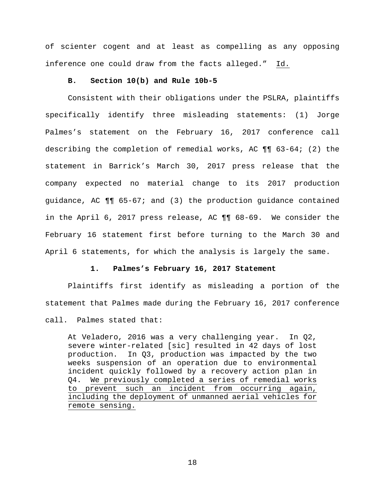of scienter cogent and at least as compelling as any opposing inference one could draw from the facts alleged." Id.

## **B. Section 10(b) and Rule 10b-5**

Consistent with their obligations under the PSLRA, plaintiffs specifically identify three misleading statements: (1) Jorge Palmes's statement on the February 16, 2017 conference call describing the completion of remedial works, AC  $\P\P$  63-64; (2) the statement in Barrick's March 30, 2017 press release that the company expected no material change to its 2017 production guidance, AC ¶¶ 65-67; and (3) the production guidance contained in the April 6, 2017 press release, AC ¶¶ 68-69. We consider the February 16 statement first before turning to the March 30 and April 6 statements, for which the analysis is largely the same.

## **1. Palmes's February 16, 2017 Statement**

Plaintiffs first identify as misleading a portion of the statement that Palmes made during the February 16, 2017 conference call. Palmes stated that:

At Veladero, 2016 was a very challenging year. In Q2, severe winter-related [sic] resulted in 42 days of lost production. In Q3, production was impacted by the two weeks suspension of an operation due to environmental incident quickly followed by a recovery action plan in Q4. We previously completed a series of remedial works to prevent such an incident from occurring again, including the deployment of unmanned aerial vehicles for remote sensing.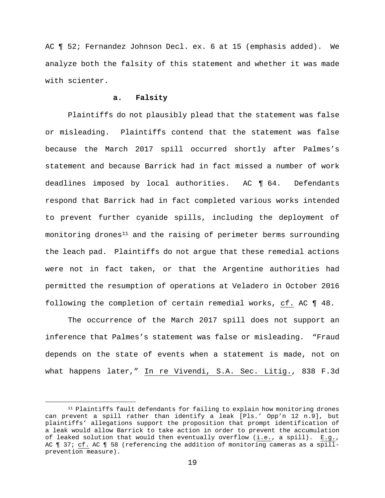AC ¶ 52; Fernandez Johnson Decl. ex. 6 at 15 (emphasis added). We analyze both the falsity of this statement and whether it was made with scienter.

## **a. Falsity**

Plaintiffs do not plausibly plead that the statement was false or misleading. Plaintiffs contend that the statement was false because the March 2017 spill occurred shortly after Palmes's statement and because Barrick had in fact missed a number of work deadlines imposed by local authorities. AC ¶ 64. Defendants respond that Barrick had in fact completed various works intended to prevent further cyanide spills, including the deployment of monitoring drones<sup>[11](#page-18-0)</sup> and the raising of perimeter berms surrounding the leach pad. Plaintiffs do not argue that these remedial actions were not in fact taken, or that the Argentine authorities had permitted the resumption of operations at Veladero in October 2016 following the completion of certain remedial works, cf. AC ¶ 48.

The occurrence of the March 2017 spill does not support an inference that Palmes's statement was false or misleading. "Fraud depends on the state of events when a statement is made, not on what happens later," In re Vivendi, S.A. Sec. Litig., 838 F.3d

<span id="page-18-0"></span> <sup>11</sup> Plaintiffs fault defendants for failing to explain how monitoring drones can prevent a spill rather than identify a leak [Pls.' Opp'n 12 n.9], but plaintiffs' allegations support the proposition that prompt identification of a leak would allow Barrick to take action in order to prevent the accumulation of leaked solution that would then eventually overflow (i.e., a spill). E.g., AC ¶ 37; cf. AC ¶ 58 (referencing the addition of monitoring cameras as a spillprevention measure).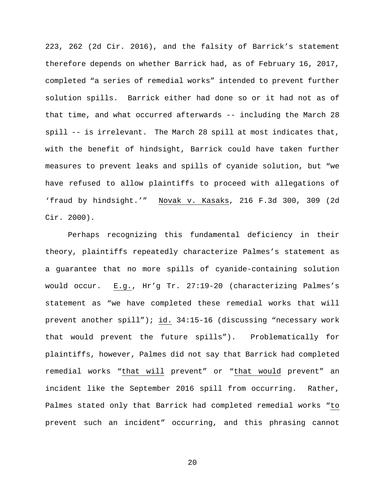223, 262 (2d Cir. 2016), and the falsity of Barrick's statement therefore depends on whether Barrick had, as of February 16, 2017, completed "a series of remedial works" intended to prevent further solution spills. Barrick either had done so or it had not as of that time, and what occurred afterwards -- including the March 28 spill -- is irrelevant. The March 28 spill at most indicates that, with the benefit of hindsight, Barrick could have taken further measures to prevent leaks and spills of cyanide solution, but "we have refused to allow plaintiffs to proceed with allegations of 'fraud by hindsight.'" Novak v. Kasaks, 216 F.3d 300, 309 (2d Cir. 2000).

Perhaps recognizing this fundamental deficiency in their theory, plaintiffs repeatedly characterize Palmes's statement as a guarantee that no more spills of cyanide-containing solution would occur. E.g., Hr'g Tr. 27:19-20 (characterizing Palmes's statement as "we have completed these remedial works that will prevent another spill"); id. 34:15-16 (discussing "necessary work that would prevent the future spills"). Problematically for plaintiffs, however, Palmes did not say that Barrick had completed remedial works "that will prevent" or "that would prevent" an incident like the September 2016 spill from occurring. Rather, Palmes stated only that Barrick had completed remedial works "to prevent such an incident" occurring, and this phrasing cannot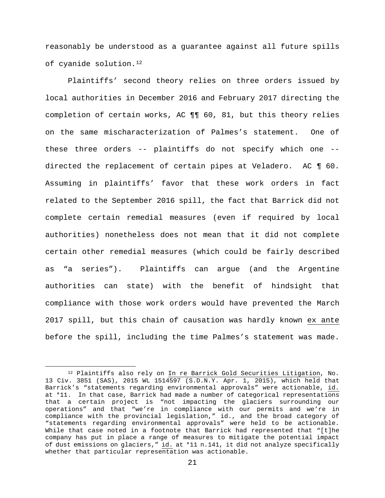reasonably be understood as a guarantee against all future spills of cyanide solution[.12](#page-20-0)

Plaintiffs' second theory relies on three orders issued by local authorities in December 2016 and February 2017 directing the completion of certain works, AC ¶¶ 60, 81, but this theory relies on the same mischaracterization of Palmes's statement. One of these three orders -- plaintiffs do not specify which one - directed the replacement of certain pipes at Veladero. AC ¶ 60. Assuming in plaintiffs' favor that these work orders in fact related to the September 2016 spill, the fact that Barrick did not complete certain remedial measures (even if required by local authorities) nonetheless does not mean that it did not complete certain other remedial measures (which could be fairly described as "a series"). Plaintiffs can argue (and the Argentine authorities can state) with the benefit of hindsight that compliance with those work orders would have prevented the March 2017 spill, but this chain of causation was hardly known ex ante before the spill, including the time Palmes's statement was made.

<span id="page-20-0"></span> <sup>12</sup> Plaintiffs also rely on In re Barrick Gold Securities Litigation, No. 13 Civ. 3851 (SAS), 2015 WL 1514597 (S.D.N.Y. Apr. 1, 2015), which held that Barrick's "statements regarding environmental approvals" were actionable, id. at \*11. In that case, Barrick had made a number of categorical representations that a certain project is "not impacting the glaciers surrounding our operations" and that "we're in compliance with our permits and we're in compliance with the provincial legislation," id., and the broad category of "statements regarding environmental approvals" were held to be actionable. While that case noted in a footnote that Barrick had represented that "[t]he company has put in place a range of measures to mitigate the potential impact of dust emissions on glaciers," id. at \*11 n.141, it did not analyze specifically whether that particular representation was actionable.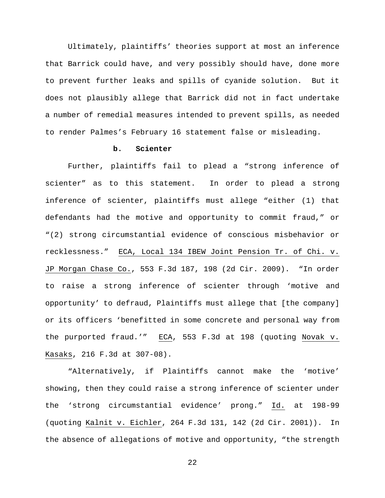Ultimately, plaintiffs' theories support at most an inference that Barrick could have, and very possibly should have, done more to prevent further leaks and spills of cyanide solution. But it does not plausibly allege that Barrick did not in fact undertake a number of remedial measures intended to prevent spills, as needed to render Palmes's February 16 statement false or misleading.

## **b. Scienter**

Further, plaintiffs fail to plead a "strong inference of scienter" as to this statement. In order to plead a strong inference of scienter, plaintiffs must allege "either (1) that defendants had the motive and opportunity to commit fraud," or "(2) strong circumstantial evidence of conscious misbehavior or recklessness." ECA, Local 134 IBEW Joint Pension Tr. of Chi. v. JP Morgan Chase Co., 553 F.3d 187, 198 (2d Cir. 2009). "In order to raise a strong inference of scienter through 'motive and opportunity' to defraud, Plaintiffs must allege that [the company] or its officers 'benefitted in some concrete and personal way from the purported fraud.'" ECA, 553 F.3d at 198 (quoting Novak v. Kasaks, 216 F.3d at 307-08).

"Alternatively, if Plaintiffs cannot make the 'motive' showing, then they could raise a strong inference of scienter under the 'strong circumstantial evidence' prong." Id. at 198-99 (quoting Kalnit v. Eichler, 264 F.3d 131, 142 (2d Cir. 2001)). In the absence of allegations of motive and opportunity, "the strength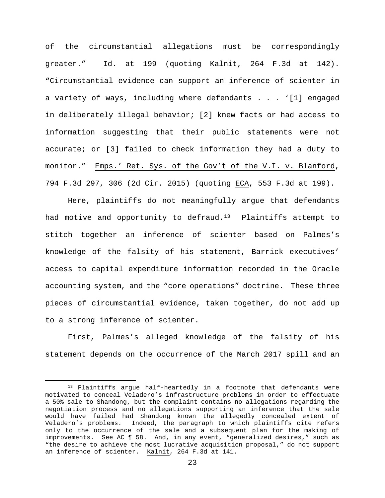of the circumstantial allegations must be correspondingly greater." Id. at 199 (quoting Kalnit, 264 F.3d at 142). "Circumstantial evidence can support an inference of scienter in a variety of ways, including where defendants . . . '[1] engaged in deliberately illegal behavior; [2] knew facts or had access to information suggesting that their public statements were not accurate; or [3] failed to check information they had a duty to monitor." Emps.' Ret. Sys. of the Gov't of the V.I. v. Blanford, 794 F.3d 297, 306 (2d Cir. 2015) (quoting ECA, 553 F.3d at 199).

Here, plaintiffs do not meaningfully argue that defendants had motive and opportunity to defraud.<sup>[13](#page-22-0)</sup> Plaintiffs attempt to stitch together an inference of scienter based on Palmes's knowledge of the falsity of his statement, Barrick executives' access to capital expenditure information recorded in the Oracle accounting system, and the "core operations" doctrine. These three pieces of circumstantial evidence, taken together, do not add up to a strong inference of scienter.

First, Palmes's alleged knowledge of the falsity of his statement depends on the occurrence of the March 2017 spill and an

<span id="page-22-0"></span><sup>13</sup> Plaintiffs argue half-heartedly in a footnote that defendants were motivated to conceal Veladero's infrastructure problems in order to effectuate a 50% sale to Shandong, but the complaint contains no allegations regarding the negotiation process and no allegations supporting an inference that the sale would have failed had Shandong known the allegedly concealed extent of Veladero's problems. Indeed, the paragraph to which plaintiffs cite refers only to the occurrence of the sale and a subsequent plan for the making of improvements. See AC ¶ 58. And, in any event, "generalized desires," such as "the desire to achieve the most lucrative acquisition proposal," do not support an inference of scienter. Kalnit, 264 F.3d at 141.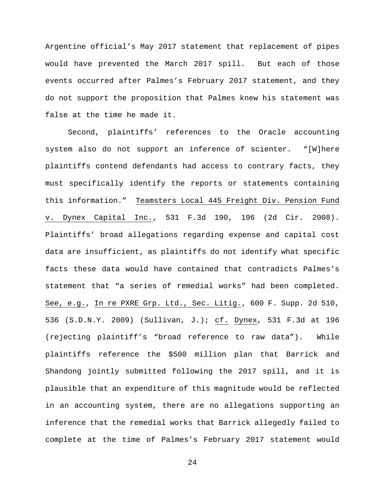Argentine official's May 2017 statement that replacement of pipes would have prevented the March 2017 spill. But each of those events occurred after Palmes's February 2017 statement, and they do not support the proposition that Palmes knew his statement was false at the time he made it.

Second, plaintiffs' references to the Oracle accounting system also do not support an inference of scienter. "[W]here plaintiffs contend defendants had access to contrary facts, they must specifically identify the reports or statements containing this information." Teamsters Local 445 Freight Div. Pension Fund v. Dynex Capital Inc., 531 F.3d 190, 196 (2d Cir. 2008). Plaintiffs' broad allegations regarding expense and capital cost data are insufficient, as plaintiffs do not identify what specific facts these data would have contained that contradicts Palmes's statement that "a series of remedial works" had been completed. See, e.g., In re PXRE Grp. Ltd., Sec. Litig., 600 F. Supp. 2d 510, 536 (S.D.N.Y. 2009) (Sullivan, J.); cf. Dynex, 531 F.3d at 196 (rejecting plaintiff's "broad reference to raw data"). While plaintiffs reference the \$500 million plan that Barrick and Shandong jointly submitted following the 2017 spill, and it is plausible that an expenditure of this magnitude would be reflected in an accounting system, there are no allegations supporting an inference that the remedial works that Barrick allegedly failed to complete at the time of Palmes's February 2017 statement would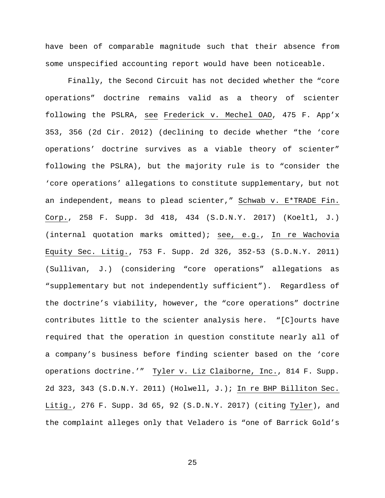have been of comparable magnitude such that their absence from some unspecified accounting report would have been noticeable.

Finally, the Second Circuit has not decided whether the "core operations" doctrine remains valid as a theory of scienter following the PSLRA, see Frederick v. Mechel OAO, 475 F. App'x 353, 356 (2d Cir. 2012) (declining to decide whether "the 'core operations' doctrine survives as a viable theory of scienter" following the PSLRA), but the majority rule is to "consider the 'core operations' allegations to constitute supplementary, but not an independent, means to plead scienter," Schwab v. E\*TRADE Fin. Corp., 258 F. Supp. 3d 418, 434 (S.D.N.Y. 2017) (Koeltl, J.) (internal quotation marks omitted); see, e.g., In re Wachovia Equity Sec. Litig., 753 F. Supp. 2d 326, 352-53 (S.D.N.Y. 2011) (Sullivan, J.) (considering "core operations" allegations as "supplementary but not independently sufficient"). Regardless of the doctrine's viability, however, the "core operations" doctrine contributes little to the scienter analysis here. "[C]ourts have required that the operation in question constitute nearly all of a company's business before finding scienter based on the 'core operations doctrine.'" Tyler v. Liz Claiborne, Inc., 814 F. Supp. 2d 323, 343 (S.D.N.Y. 2011) (Holwell, J.); In re BHP Billiton Sec. Litig., 276 F. Supp. 3d 65, 92 (S.D.N.Y. 2017) (citing Tyler), and the complaint alleges only that Veladero is "one of Barrick Gold's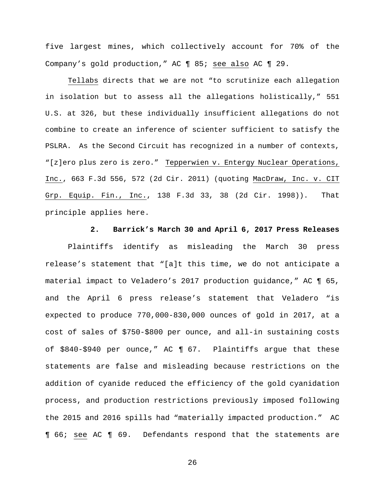five largest mines, which collectively account for 70% of the Company's gold production," AC ¶ 85; see also AC ¶ 29.

Tellabs directs that we are not "to scrutinize each allegation in isolation but to assess all the allegations holistically," 551 U.S. at 326, but these individually insufficient allegations do not combine to create an inference of scienter sufficient to satisfy the PSLRA. As the Second Circuit has recognized in a number of contexts, "[z]ero plus zero is zero." Tepperwien v. Entergy Nuclear Operations, Inc., 663 F.3d 556, 572 (2d Cir. 2011) (quoting MacDraw, Inc. v. CIT Grp. Equip. Fin., Inc., 138 F.3d 33, 38 (2d Cir. 1998)). That principle applies here.

# **2. Barrick's March 30 and April 6, 2017 Press Releases**

Plaintiffs identify as misleading the March 30 press release's statement that "[a]t this time, we do not anticipate a material impact to Veladero's 2017 production guidance," AC ¶ 65, and the April 6 press release's statement that Veladero "is expected to produce 770,000-830,000 ounces of gold in 2017, at a cost of sales of \$750-\$800 per ounce, and all-in sustaining costs of \$840-\$940 per ounce," AC ¶ 67. Plaintiffs argue that these statements are false and misleading because restrictions on the addition of cyanide reduced the efficiency of the gold cyanidation process, and production restrictions previously imposed following the 2015 and 2016 spills had "materially impacted production." AC ¶ 66; see AC ¶ 69. Defendants respond that the statements are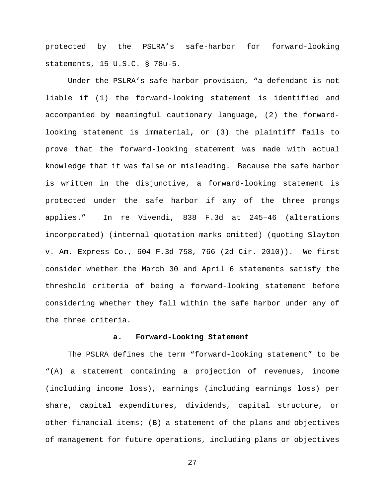protected by the PSLRA's safe-harbor for forward-looking statements, 15 U.S.C. § 78u-5.

Under the PSLRA's safe-harbor provision, "a defendant is not liable if (1) the forward-looking statement is identified and accompanied by meaningful cautionary language, (2) the forwardlooking statement is immaterial, or (3) the plaintiff fails to prove that the forward-looking statement was made with actual knowledge that it was false or misleading. Because the safe harbor is written in the disjunctive, a forward-looking statement is protected under the safe harbor if any of the three prongs applies." In re Vivendi, 838 F.3d at 245–46 (alterations incorporated) (internal quotation marks omitted) (quoting Slayton v. Am. Express Co., 604 F.3d 758, 766 (2d Cir. 2010)). We first consider whether the March 30 and April 6 statements satisfy the threshold criteria of being a forward-looking statement before considering whether they fall within the safe harbor under any of the three criteria.

### **a. Forward-Looking Statement**

The PSLRA defines the term "forward-looking statement" to be "(A) a statement containing a projection of revenues, income (including income loss), earnings (including earnings loss) per share, capital expenditures, dividends, capital structure, or other financial items; (B) a statement of the plans and objectives of management for future operations, including plans or objectives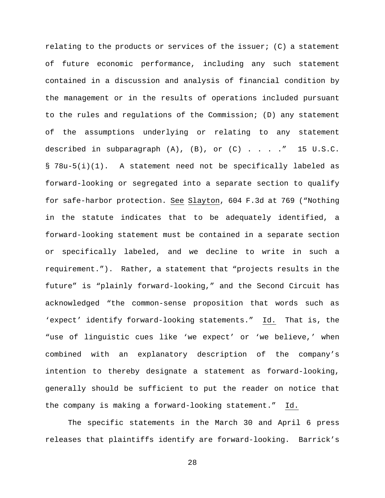relating to the products or services of the issuer; (C) a statement of future economic performance, including any such statement contained in a discussion and analysis of financial condition by the management or in the results of operations included pursuant to the rules and regulations of the Commission; (D) any statement of the assumptions underlying or relating to any statement described in subparagraph  $(A)$ ,  $(B)$ , or  $(C)$  . . . . " 15 U.S.C. § 78u-5(i)(1). A statement need not be specifically labeled as forward-looking or segregated into a separate section to qualify for safe-harbor protection. See Slayton, 604 F.3d at 769 ("Nothing in the statute indicates that to be adequately identified, a forward-looking statement must be contained in a separate section or specifically labeled, and we decline to write in such a requirement."). Rather, a statement that "projects results in the future" is "plainly forward-looking," and the Second Circuit has acknowledged "the common-sense proposition that words such as 'expect' identify forward-looking statements." Id. That is, the "use of linguistic cues like 'we expect' or 'we believe,' when combined with an explanatory description of the company's intention to thereby designate a statement as forward-looking, generally should be sufficient to put the reader on notice that the company is making a forward-looking statement." Id.

The specific statements in the March 30 and April 6 press releases that plaintiffs identify are forward-looking. Barrick's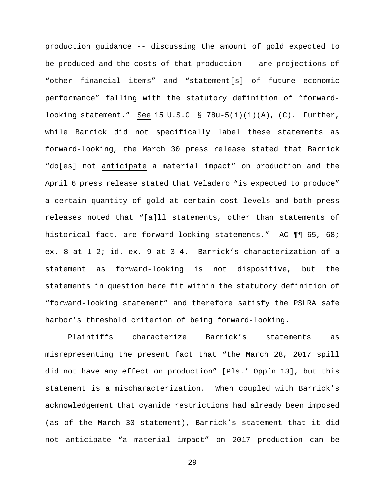production guidance -- discussing the amount of gold expected to be produced and the costs of that production -- are projections of "other financial items" and "statement[s] of future economic performance" falling with the statutory definition of "forwardlooking statement." See 15 U.S.C. §  $78u-5(i)(1)(A)$ , (C). Further, while Barrick did not specifically label these statements as forward-looking, the March 30 press release stated that Barrick "do[es] not anticipate a material impact" on production and the April 6 press release stated that Veladero "is expected to produce" a certain quantity of gold at certain cost levels and both press releases noted that "[a]ll statements, other than statements of historical fact, are forward-looking statements." AC ¶¶ 65, 68; ex. 8 at 1-2; id. ex. 9 at 3-4. Barrick's characterization of a statement as forward-looking is not dispositive, but the statements in question here fit within the statutory definition of "forward-looking statement" and therefore satisfy the PSLRA safe harbor's threshold criterion of being forward-looking.

Plaintiffs characterize Barrick's statements as misrepresenting the present fact that "the March 28, 2017 spill did not have any effect on production" [Pls.' Opp'n 13], but this statement is a mischaracterization. When coupled with Barrick's acknowledgement that cyanide restrictions had already been imposed (as of the March 30 statement), Barrick's statement that it did not anticipate "a material impact" on 2017 production can be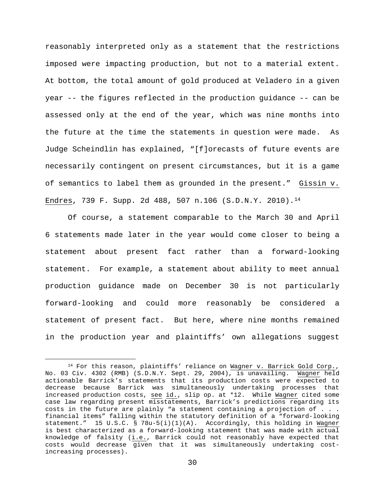reasonably interpreted only as a statement that the restrictions imposed were impacting production, but not to a material extent. At bottom, the total amount of gold produced at Veladero in a given year -- the figures reflected in the production guidance -- can be assessed only at the end of the year, which was nine months into the future at the time the statements in question were made. As Judge Scheindlin has explained, "[f]orecasts of future events are necessarily contingent on present circumstances, but it is a game of semantics to label them as grounded in the present." Gissin v. Endres, 739 F. Supp. 2d 488, 507 n.106 (S.D.N.Y. 2010)[.14](#page-29-0)

Of course, a statement comparable to the March 30 and April 6 statements made later in the year would come closer to being a statement about present fact rather than a forward-looking statement. For example, a statement about ability to meet annual production guidance made on December 30 is not particularly forward-looking and could more reasonably be considered a statement of present fact. But here, where nine months remained in the production year and plaintiffs' own allegations suggest

<span id="page-29-0"></span><sup>&</sup>lt;sup>14</sup> For this reason, plaintiffs' reliance on Wagner v. Barrick Gold Corp., No. 03 Civ. 4302 (RMB) (S.D.N.Y. Sept. 29, 2004), is unavailing. Wagner held actionable Barrick's statements that its production costs were expected to decrease because Barrick was simultaneously undertaking processes that increased production costs, see id., slip op. at \*12. While Wagner cited some case law regarding present misstatements, Barrick's predictions regarding its costs in the future are plainly "a statement containing a projection of . . . financial items" falling within the statutory definition of a "forward-looking statement." 15 U.S.C. § 78u-5(i)(1)(A). Accordingly, this holding in Wagner is best characterized as a forward-looking statement that was made with actual knowledge of falsity (i.e., Barrick could not reasonably have expected that costs would decrease given that it was simultaneously undertaking costincreasing processes).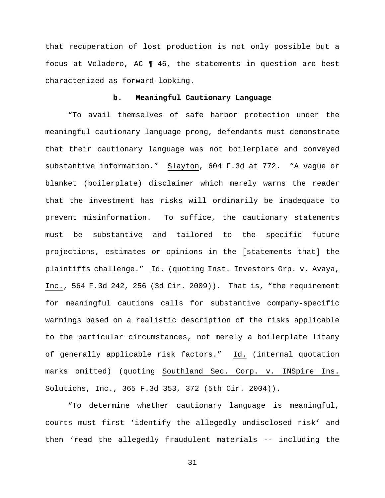that recuperation of lost production is not only possible but a focus at Veladero, AC ¶ 46, the statements in question are best characterized as forward-looking.

### **b. Meaningful Cautionary Language**

"To avail themselves of safe harbor protection under the meaningful cautionary language prong, defendants must demonstrate that their cautionary language was not boilerplate and conveyed substantive information." Slayton, 604 F.3d at 772. "A vague or blanket (boilerplate) disclaimer which merely warns the reader that the investment has risks will ordinarily be inadequate to prevent misinformation. To suffice, the cautionary statements must be substantive and tailored to the specific future projections, estimates or opinions in the [statements that] the plaintiffs challenge." Id. (quoting Inst. Investors Grp. v. Avaya, Inc., 564 F.3d 242, 256 (3d Cir. 2009)). That is, "the requirement for meaningful cautions calls for substantive company-specific warnings based on a realistic description of the risks applicable to the particular circumstances, not merely a boilerplate litany of generally applicable risk factors." Id. (internal quotation marks omitted) (quoting Southland Sec. Corp. v. INSpire Ins. Solutions, Inc., 365 F.3d 353, 372 (5th Cir. 2004)).

"To determine whether cautionary language is meaningful, courts must first 'identify the allegedly undisclosed risk' and then 'read the allegedly fraudulent materials -- including the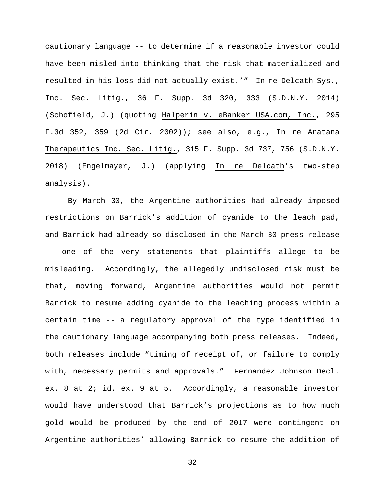cautionary language -- to determine if a reasonable investor could have been misled into thinking that the risk that materialized and resulted in his loss did not actually exist.'" In re Delcath Sys., Inc. Sec. Litig., 36 F. Supp. 3d 320, 333 (S.D.N.Y. 2014) (Schofield, J.) (quoting Halperin v. eBanker USA.com, Inc., 295 F.3d 352, 359 (2d Cir. 2002)); see also, e.g., In re Aratana Therapeutics Inc. Sec. Litig., 315 F. Supp. 3d 737, 756 (S.D.N.Y. 2018) (Engelmayer, J.) (applying In re Delcath's two-step analysis).

By March 30, the Argentine authorities had already imposed restrictions on Barrick's addition of cyanide to the leach pad, and Barrick had already so disclosed in the March 30 press release -- one of the very statements that plaintiffs allege to be misleading. Accordingly, the allegedly undisclosed risk must be that, moving forward, Argentine authorities would not permit Barrick to resume adding cyanide to the leaching process within a certain time -- a regulatory approval of the type identified in the cautionary language accompanying both press releases. Indeed, both releases include "timing of receipt of, or failure to comply with, necessary permits and approvals." Fernandez Johnson Decl. ex. 8 at 2; id. ex. 9 at 5. Accordingly, a reasonable investor would have understood that Barrick's projections as to how much gold would be produced by the end of 2017 were contingent on Argentine authorities' allowing Barrick to resume the addition of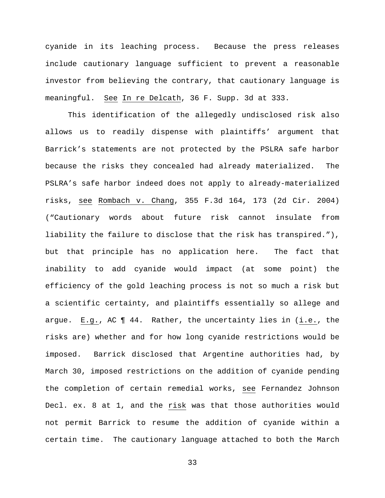cyanide in its leaching process. Because the press releases include cautionary language sufficient to prevent a reasonable investor from believing the contrary, that cautionary language is meaningful. See In re Delcath, 36 F. Supp. 3d at 333.

This identification of the allegedly undisclosed risk also allows us to readily dispense with plaintiffs' argument that Barrick's statements are not protected by the PSLRA safe harbor because the risks they concealed had already materialized. The PSLRA's safe harbor indeed does not apply to already-materialized risks, see Rombach v. Chang, 355 F.3d 164, 173 (2d Cir. 2004) ("Cautionary words about future risk cannot insulate from liability the failure to disclose that the risk has transpired."), but that principle has no application here. The fact that inability to add cyanide would impact (at some point) the efficiency of the gold leaching process is not so much a risk but a scientific certainty, and plaintiffs essentially so allege and argue. E.g., AC ¶ 44. Rather, the uncertainty lies in (i.e., the risks are) whether and for how long cyanide restrictions would be imposed. Barrick disclosed that Argentine authorities had, by March 30, imposed restrictions on the addition of cyanide pending the completion of certain remedial works, see Fernandez Johnson Decl. ex. 8 at 1, and the risk was that those authorities would not permit Barrick to resume the addition of cyanide within a certain time. The cautionary language attached to both the March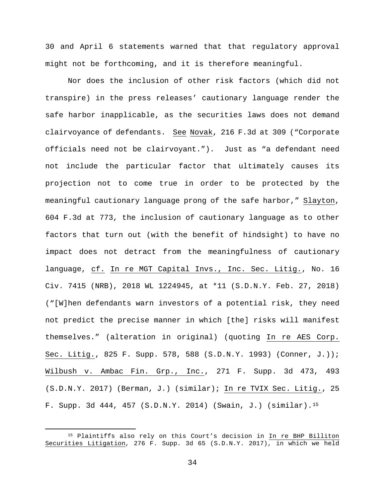30 and April 6 statements warned that that regulatory approval might not be forthcoming, and it is therefore meaningful.

Nor does the inclusion of other risk factors (which did not transpire) in the press releases' cautionary language render the safe harbor inapplicable, as the securities laws does not demand clairvoyance of defendants. See Novak, 216 F.3d at 309 ("Corporate officials need not be clairvoyant."). Just as "a defendant need not include the particular factor that ultimately causes its projection not to come true in order to be protected by the meaningful cautionary language prong of the safe harbor," Slayton, 604 F.3d at 773, the inclusion of cautionary language as to other factors that turn out (with the benefit of hindsight) to have no impact does not detract from the meaningfulness of cautionary language, cf. In re MGT Capital Invs., Inc. Sec. Litig., No. 16 Civ. 7415 (NRB), 2018 WL 1224945, at \*11 (S.D.N.Y. Feb. 27, 2018) ("[W]hen defendants warn investors of a potential risk, they need not predict the precise manner in which [the] risks will manifest themselves." (alteration in original) (quoting In re AES Corp. Sec. Litig., 825 F. Supp. 578, 588 (S.D.N.Y. 1993) (Conner, J.)); Wilbush v. Ambac Fin. Grp., Inc., 271 F. Supp. 3d 473, 493 (S.D.N.Y. 2017) (Berman, J.) (similar); In re TVIX Sec. Litig., 25 F. Supp. 3d 444, 457 (S.D.N.Y. 2014) (Swain, J.) (similar).[15](#page-33-0)

<span id="page-33-0"></span> <sup>15</sup> Plaintiffs also rely on this Court's decision in In re BHP Billiton Securities Litigation, 276 F. Supp. 3d 65 (S.D.N.Y. 2017), in which we held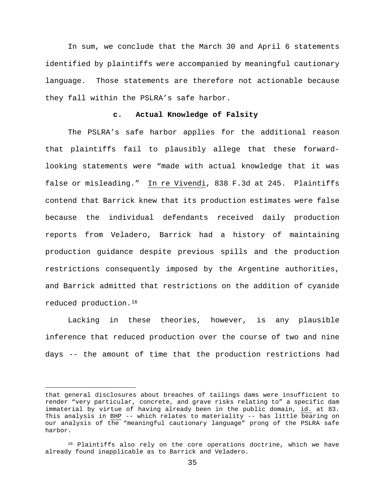In sum, we conclude that the March 30 and April 6 statements identified by plaintiffs were accompanied by meaningful cautionary language. Those statements are therefore not actionable because they fall within the PSLRA's safe harbor.

### **c. Actual Knowledge of Falsity**

The PSLRA's safe harbor applies for the additional reason that plaintiffs fail to plausibly allege that these forwardlooking statements were "made with actual knowledge that it was false or misleading." In re Vivendi, 838 F.3d at 245. Plaintiffs contend that Barrick knew that its production estimates were false because the individual defendants received daily production reports from Veladero, Barrick had a history of maintaining production guidance despite previous spills and the production restrictions consequently imposed by the Argentine authorities, and Barrick admitted that restrictions on the addition of cyanide reduced production.[16](#page-34-0)

Lacking in these theories, however, is any plausible inference that reduced production over the course of two and nine days -- the amount of time that the production restrictions had

Ĩ. that general disclosures about breaches of tailings dams were insufficient to render "very particular, concrete, and grave risks relating to" a specific dam immaterial by virtue of having already been in the public domain, id. at 83. This analysis in BHP -- which relates to materiality -- has little bearing on our analysis of the "meaningful cautionary language" prong of the PSLRA safe harbor.

<span id="page-34-0"></span><sup>&</sup>lt;sup>16</sup> Plaintiffs also rely on the core operations doctrine, which we have already found inapplicable as to Barrick and Veladero.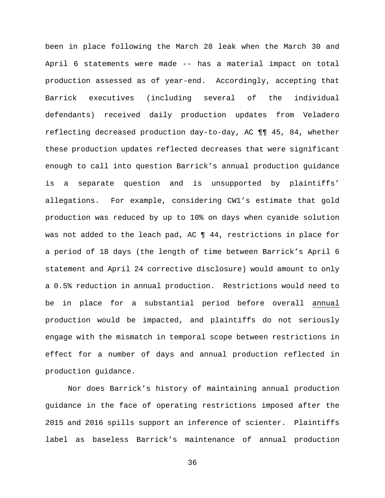been in place following the March 28 leak when the March 30 and April 6 statements were made -- has a material impact on total production assessed as of year-end. Accordingly, accepting that Barrick executives (including several of the individual defendants) received daily production updates from Veladero reflecting decreased production day-to-day, AC ¶¶ 45, 84, whether these production updates reflected decreases that were significant enough to call into question Barrick's annual production guidance is a separate question and is unsupported by plaintiffs' allegations. For example, considering CW1's estimate that gold production was reduced by up to 10% on days when cyanide solution was not added to the leach pad, AC ¶ 44, restrictions in place for a period of 18 days (the length of time between Barrick's April 6 statement and April 24 corrective disclosure) would amount to only a 0.5% reduction in annual production. Restrictions would need to be in place for a substantial period before overall annual production would be impacted, and plaintiffs do not seriously engage with the mismatch in temporal scope between restrictions in effect for a number of days and annual production reflected in production guidance.

Nor does Barrick's history of maintaining annual production guidance in the face of operating restrictions imposed after the 2015 and 2016 spills support an inference of scienter. Plaintiffs label as baseless Barrick's maintenance of annual production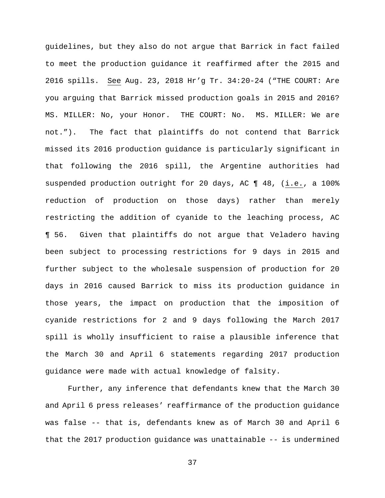guidelines, but they also do not argue that Barrick in fact failed to meet the production guidance it reaffirmed after the 2015 and 2016 spills. See Aug. 23, 2018 Hr'g Tr. 34:20-24 ("THE COURT: Are you arguing that Barrick missed production goals in 2015 and 2016? MS. MILLER: No, your Honor. THE COURT: No. MS. MILLER: We are not."). The fact that plaintiffs do not contend that Barrick missed its 2016 production guidance is particularly significant in that following the 2016 spill, the Argentine authorities had suspended production outright for 20 days, AC ¶ 48, (i.e., a 100% reduction of production on those days) rather than merely restricting the addition of cyanide to the leaching process, AC ¶ 56. Given that plaintiffs do not argue that Veladero having been subject to processing restrictions for 9 days in 2015 and further subject to the wholesale suspension of production for 20 days in 2016 caused Barrick to miss its production guidance in those years, the impact on production that the imposition of cyanide restrictions for 2 and 9 days following the March 2017 spill is wholly insufficient to raise a plausible inference that the March 30 and April 6 statements regarding 2017 production guidance were made with actual knowledge of falsity.

Further, any inference that defendants knew that the March 30 and April 6 press releases' reaffirmance of the production guidance was false -- that is, defendants knew as of March 30 and April 6 that the 2017 production guidance was unattainable -- is undermined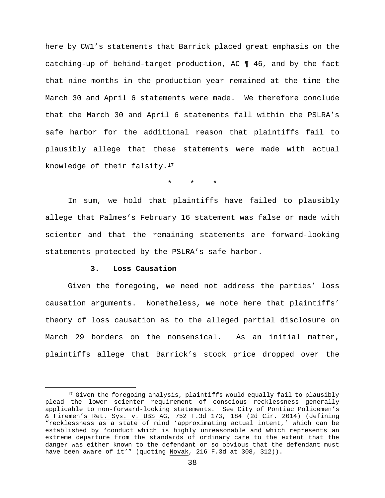here by CW1's statements that Barrick placed great emphasis on the catching-up of behind-target production, AC ¶ 46, and by the fact that nine months in the production year remained at the time the March 30 and April 6 statements were made. We therefore conclude that the March 30 and April 6 statements fall within the PSLRA's safe harbor for the additional reason that plaintiffs fail to plausibly allege that these statements were made with actual knowledge of their falsity.[17](#page-37-0)

\* \* \*

In sum, we hold that plaintiffs have failed to plausibly allege that Palmes's February 16 statement was false or made with scienter and that the remaining statements are forward-looking statements protected by the PSLRA's safe harbor.

## **3. Loss Causation**

Given the foregoing, we need not address the parties' loss causation arguments. Nonetheless, we note here that plaintiffs' theory of loss causation as to the alleged partial disclosure on March 29 borders on the nonsensical. As an initial matter, plaintiffs allege that Barrick's stock price dropped over the

<span id="page-37-0"></span><sup>&</sup>lt;sup>17</sup> Given the foregoing analysis, plaintiffs would equally fail to plausibly plead the lower scienter requirement of conscious recklessness generally applicable to non-forward-looking statements. See City of Pontiac Policemen's & Firemen's Ret. Sys. v. UBS AG, 752 F.3d 173, 184 (2d Cir. 2014) (defining "recklessness as a state of mind 'approximating actual intent,' which can be established by 'conduct which is highly unreasonable and which represents an extreme departure from the standards of ordinary care to the extent that the danger was either known to the defendant or so obvious that the defendant must have been aware of it'" (quoting Novak, 216 F.3d at 308, 312)).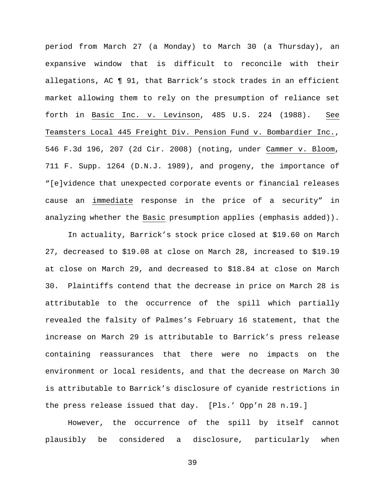period from March 27 (a Monday) to March 30 (a Thursday), an expansive window that is difficult to reconcile with their allegations, AC ¶ 91, that Barrick's stock trades in an efficient market allowing them to rely on the presumption of reliance set forth in Basic Inc. v. Levinson, 485 U.S. 224 (1988). See Teamsters Local 445 Freight Div. Pension Fund v. Bombardier Inc., 546 F.3d 196, 207 (2d Cir. 2008) (noting, under Cammer v. Bloom, 711 F. Supp. 1264 (D.N.J. 1989), and progeny, the importance of "[e]vidence that unexpected corporate events or financial releases cause an immediate response in the price of a security" in analyzing whether the Basic presumption applies (emphasis added)).

In actuality, Barrick's stock price closed at \$19.60 on March 27, decreased to \$19.08 at close on March 28, increased to \$19.19 at close on March 29, and decreased to \$18.84 at close on March 30. Plaintiffs contend that the decrease in price on March 28 is attributable to the occurrence of the spill which partially revealed the falsity of Palmes's February 16 statement, that the increase on March 29 is attributable to Barrick's press release containing reassurances that there were no impacts on the environment or local residents, and that the decrease on March 30 is attributable to Barrick's disclosure of cyanide restrictions in the press release issued that day. [Pls.' Opp'n 28 n.19.]

However, the occurrence of the spill by itself cannot plausibly be considered a disclosure, particularly when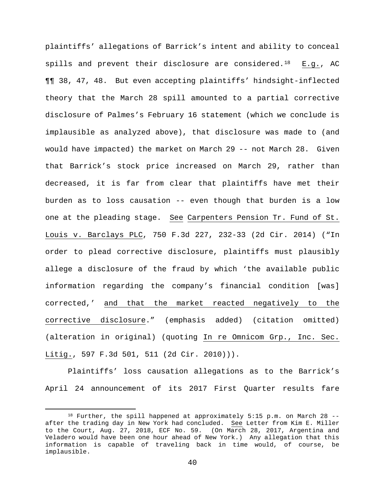plaintiffs' allegations of Barrick's intent and ability to conceal spills and prevent their disclosure are considered.<sup>18</sup> E.g., AC ¶¶ 38, 47, 48. But even accepting plaintiffs' hindsight-inflected theory that the March 28 spill amounted to a partial corrective disclosure of Palmes's February 16 statement (which we conclude is implausible as analyzed above), that disclosure was made to (and would have impacted) the market on March 29 -- not March 28. Given that Barrick's stock price increased on March 29, rather than decreased, it is far from clear that plaintiffs have met their burden as to loss causation -- even though that burden is a low one at the pleading stage. See Carpenters Pension Tr. Fund of St. Louis v. Barclays PLC, 750 F.3d 227, 232-33 (2d Cir. 2014) ("In order to plead corrective disclosure, plaintiffs must plausibly allege a disclosure of the fraud by which 'the available public information regarding the company's financial condition [was] corrected,' and that the market reacted negatively to the corrective disclosure." (emphasis added) (citation omitted) (alteration in original) (quoting In re Omnicom Grp., Inc. Sec. Litig., 597 F.3d 501, 511 (2d Cir. 2010))).

Plaintiffs' loss causation allegations as to the Barrick's April 24 announcement of its 2017 First Quarter results fare

<span id="page-39-0"></span> <sup>18</sup> Further, the spill happened at approximately 5:15 p.m. on March 28 - after the trading day in New York had concluded. See Letter from Kim E. Miller to the Court, Aug. 27, 2018, ECF No. 59. (On March 28, 2017, Argentina and Veladero would have been one hour ahead of New York.) Any allegation that this information is capable of traveling back in time would, of course, be implausible.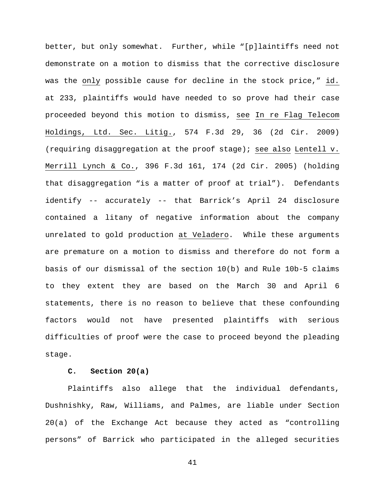better, but only somewhat. Further, while "[p]laintiffs need not demonstrate on a motion to dismiss that the corrective disclosure was the only possible cause for decline in the stock price," id. at 233, plaintiffs would have needed to so prove had their case proceeded beyond this motion to dismiss, see In re Flag Telecom Holdings, Ltd. Sec. Litig., 574 F.3d 29, 36 (2d Cir. 2009) (requiring disaggregation at the proof stage); see also Lentell v. Merrill Lynch & Co., 396 F.3d 161, 174 (2d Cir. 2005) (holding that disaggregation "is a matter of proof at trial"). Defendants identify -- accurately -- that Barrick's April 24 disclosure contained a litany of negative information about the company unrelated to gold production at Veladero. While these arguments are premature on a motion to dismiss and therefore do not form a basis of our dismissal of the section 10(b) and Rule 10b-5 claims to they extent they are based on the March 30 and April 6 statements, there is no reason to believe that these confounding factors would not have presented plaintiffs with serious difficulties of proof were the case to proceed beyond the pleading stage.

### **C. Section 20(a)**

Plaintiffs also allege that the individual defendants, Dushnishky, Raw, Williams, and Palmes, are liable under Section 20(a) of the Exchange Act because they acted as "controlling persons" of Barrick who participated in the alleged securities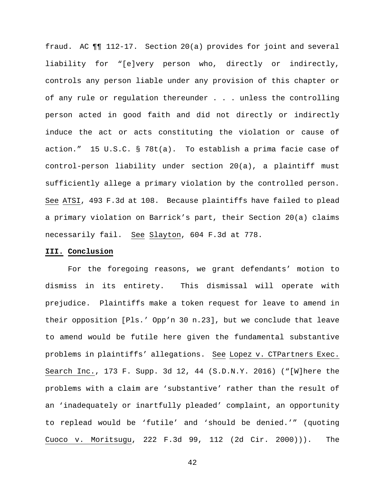fraud. AC ¶¶ 112-17. Section 20(a) provides for joint and several liability for "[e]very person who, directly or indirectly, controls any person liable under any provision of this chapter or of any rule or regulation thereunder . . . unless the controlling person acted in good faith and did not directly or indirectly induce the act or acts constituting the violation or cause of action." 15 U.S.C. § 78t(a). To establish a prima facie case of control-person liability under section 20(a), a plaintiff must sufficiently allege a primary violation by the controlled person. See ATSI, 493 F.3d at 108. Because plaintiffs have failed to plead a primary violation on Barrick's part, their Section 20(a) claims necessarily fail. See Slayton, 604 F.3d at 778.

## **III. Conclusion**

For the foregoing reasons, we grant defendants' motion to dismiss in its entirety. This dismissal will operate with prejudice. Plaintiffs make a token request for leave to amend in their opposition [Pls.' Opp'n 30 n.23], but we conclude that leave to amend would be futile here given the fundamental substantive problems in plaintiffs' allegations. See Lopez v. CTPartners Exec. Search Inc., 173 F. Supp. 3d 12, 44 (S.D.N.Y. 2016) ("[W]here the problems with a claim are 'substantive' rather than the result of an 'inadequately or inartfully pleaded' complaint, an opportunity to replead would be 'futile' and 'should be denied.'" (quoting Cuoco v. Moritsugu, 222 F.3d 99, 112 (2d Cir. 2000))). The